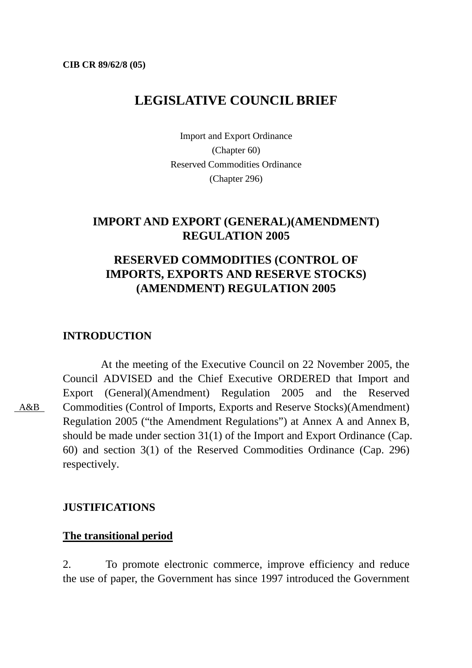# **LEGISLATIVE COUNCIL BRIEF**

Import and Export Ordinance (Chapter 60) Reserved Commodities Ordinance (Chapter 296)

## **IMPORT AND EXPORT (GENERAL)(AMENDMENT) REGULATION 2005**

# **RESERVED COMMODITIES (CONTROL OF IMPORTS, EXPORTS AND RESERVE STOCKS) (AMENDMENT) REGULATION 2005**

## **INTRODUCTION**

 At the meeting of the Executive Council on 22 November 2005, the Council ADVISED and the Chief Executive ORDERED that Import and Export (General)(Amendment) Regulation 2005 and the Reserved Commodities (Control of Imports, Exports and Reserve Stocks)(Amendment) Regulation 2005 ("the Amendment Regulations") at Annex A and Annex B, should be made under section 31(1) of the Import and Export Ordinance (Cap. 60) and section 3(1) of the Reserved Commodities Ordinance (Cap. 296) respectively.

### **JUSTIFICATIONS**

### **The transitional period**

2. To promote electronic commerce, improve efficiency and reduce the use of paper, the Government has since 1997 introduced the Government

A&B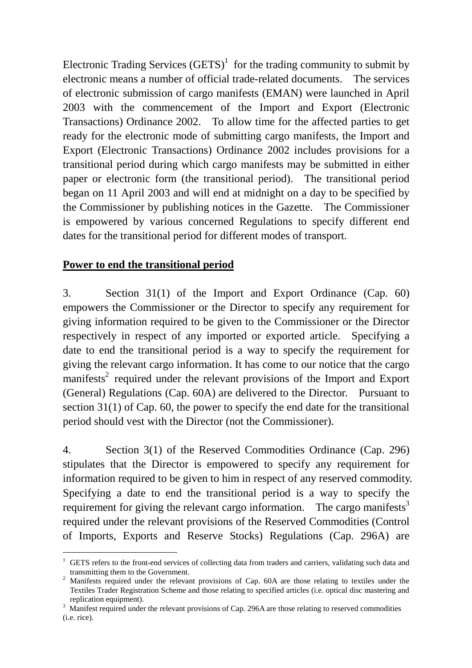Electronic Trading Services  $(GETS)^1$  for the trading community to submit by electronic means a number of official trade-related documents. The services of electronic submission of cargo manifests (EMAN) were launched in April 2003 with the commencement of the Import and Export (Electronic Transactions) Ordinance 2002. To allow time for the affected parties to get ready for the electronic mode of submitting cargo manifests, the Import and Export (Electronic Transactions) Ordinance 2002 includes provisions for a transitional period during which cargo manifests may be submitted in either paper or electronic form (the transitional period). The transitional period began on 11 April 2003 and will end at midnight on a day to be specified by the Commissioner by publishing notices in the Gazette. The Commissioner is empowered by various concerned Regulations to specify different end dates for the transitional period for different modes of transport.

## **Power to end the transitional period**

 $\overline{a}$ 

3. Section 31(1) of the Import and Export Ordinance (Cap. 60) empowers the Commissioner or the Director to specify any requirement for giving information required to be given to the Commissioner or the Director respectively in respect of any imported or exported article. Specifying a date to end the transitional period is a way to specify the requirement for giving the relevant cargo information. It has come to our notice that the cargo manifests<sup>2</sup> required under the relevant provisions of the Import and Export (General) Regulations (Cap. 60A) are delivered to the Director. Pursuant to section 31(1) of Cap. 60, the power to specify the end date for the transitional period should vest with the Director (not the Commissioner).

4. Section 3(1) of the Reserved Commodities Ordinance (Cap. 296) stipulates that the Director is empowered to specify any requirement for information required to be given to him in respect of any reserved commodity. Specifying a date to end the transitional period is a way to specify the requirement for giving the relevant cargo information. The cargo manifests $3$ required under the relevant provisions of the Reserved Commodities (Control of Imports, Exports and Reserve Stocks) Regulations (Cap. 296A) are

<sup>1</sup> GETS refers to the front-end services of collecting data from traders and carriers, validating such data and transmitting them to the Government. 2

<sup>&</sup>lt;sup>2</sup> Manifests required under the relevant provisions of Cap. 60A are those relating to textiles under the Textiles Trader Registration Scheme and those relating to specified articles (i.e. optical disc mastering and replication equipment).

<sup>&</sup>lt;sup>3</sup> Manifest required under the relevant provisions of Cap. 296A are those relating to reserved commodities (i.e. rice).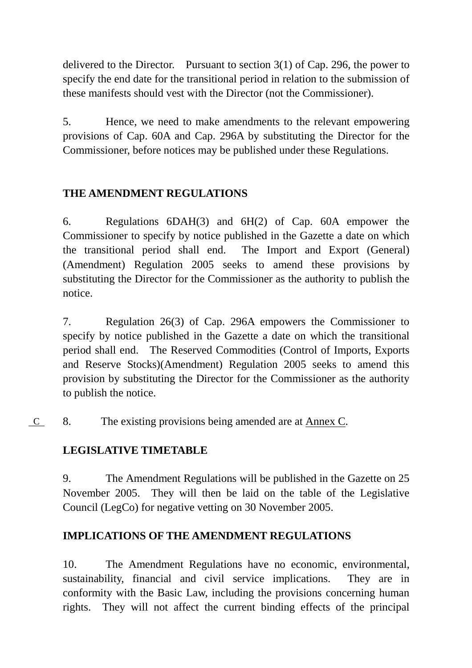delivered to the Director. Pursuant to section  $3(1)$  of Cap. 296, the power to specify the end date for the transitional period in relation to the submission of these manifests should vest with the Director (not the Commissioner).

5. Hence, we need to make amendments to the relevant empowering provisions of Cap. 60A and Cap. 296A by substituting the Director for the Commissioner, before notices may be published under these Regulations.

# **THE AMENDMENT REGULATIONS**

6. Regulations 6DAH(3) and 6H(2) of Cap. 60A empower the Commissioner to specify by notice published in the Gazette a date on which the transitional period shall end. The Import and Export (General) (Amendment) Regulation 2005 seeks to amend these provisions by substituting the Director for the Commissioner as the authority to publish the notice.

7. Regulation 26(3) of Cap. 296A empowers the Commissioner to specify by notice published in the Gazette a date on which the transitional period shall end. The Reserved Commodities (Control of Imports, Exports and Reserve Stocks)(Amendment) Regulation 2005 seeks to amend this provision by substituting the Director for the Commissioner as the authority to publish the notice.

8. The existing provisions being amended are at Annex C. C

## **LEGISLATIVE TIMETABLE**

9. The Amendment Regulations will be published in the Gazette on 25 November 2005. They will then be laid on the table of the Legislative Council (LegCo) for negative vetting on 30 November 2005.

## **IMPLICATIONS OF THE AMENDMENT REGULATIONS**

10. The Amendment Regulations have no economic, environmental, sustainability, financial and civil service implications. They are in conformity with the Basic Law, including the provisions concerning human rights. They will not affect the current binding effects of the principal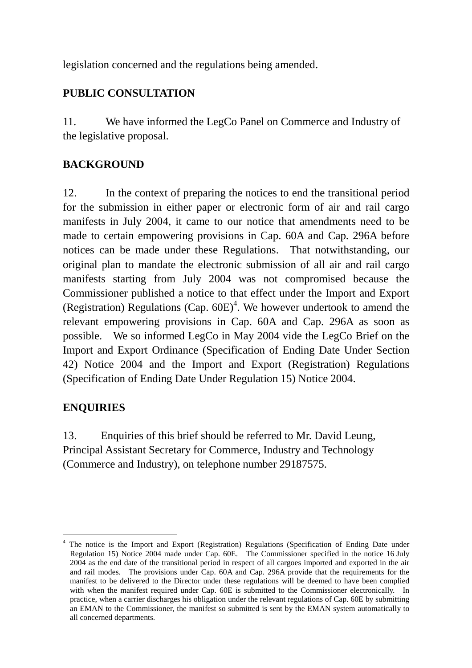legislation concerned and the regulations being amended.

## **PUBLIC CONSULTATION**

11. We have informed the LegCo Panel on Commerce and Industry of the legislative proposal.

## **BACKGROUND**

12. In the context of preparing the notices to end the transitional period for the submission in either paper or electronic form of air and rail cargo manifests in July 2004, it came to our notice that amendments need to be made to certain empowering provisions in Cap. 60A and Cap. 296A before notices can be made under these Regulations. That notwithstanding, our original plan to mandate the electronic submission of all air and rail cargo manifests starting from July 2004 was not compromised because the Commissioner published a notice to that effect under the Import and Export (Registration) Regulations (Cap.  $60E$ )<sup>4</sup>. We however undertook to amend the relevant empowering provisions in Cap. 60A and Cap. 296A as soon as possible. We so informed LegCo in May 2004 vide the LegCo Brief on the Import and Export Ordinance (Specification of Ending Date Under Section 42) Notice 2004 and the Import and Export (Registration) Regulations (Specification of Ending Date Under Regulation 15) Notice 2004.

# **ENQUIRIES**

 $\overline{a}$ 

13. Enquiries of this brief should be referred to Mr. David Leung, Principal Assistant Secretary for Commerce, Industry and Technology (Commerce and Industry), on telephone number 29187575.

<sup>4</sup> The notice is the Import and Export (Registration) Regulations (Specification of Ending Date under Regulation 15) Notice 2004 made under Cap. 60E. The Commissioner specified in the notice 16 July 2004 as the end date of the transitional period in respect of all cargoes imported and exported in the air and rail modes. The provisions under Cap. 60A and Cap. 296A provide that the requirements for the manifest to be delivered to the Director under these regulations will be deemed to have been complied with when the manifest required under Cap. 60E is submitted to the Commissioner electronically. In practice, when a carrier discharges his obligation under the relevant regulations of Cap. 60E by submitting an EMAN to the Commissioner, the manifest so submitted is sent by the EMAN system automatically to all concerned departments.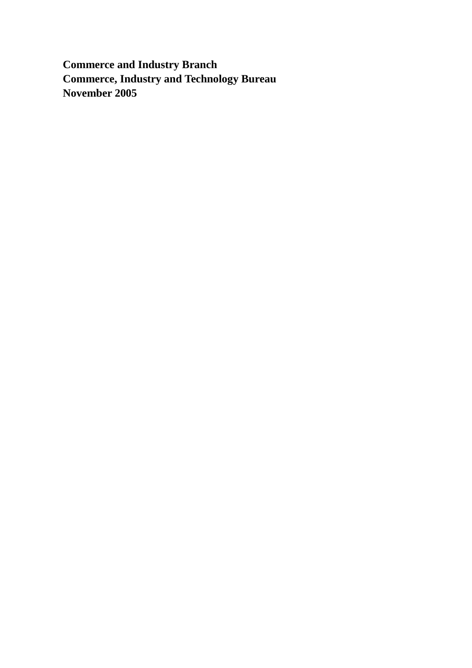**Commerce and Industry Branch Commerce, Industry and Technology Bureau November 2005**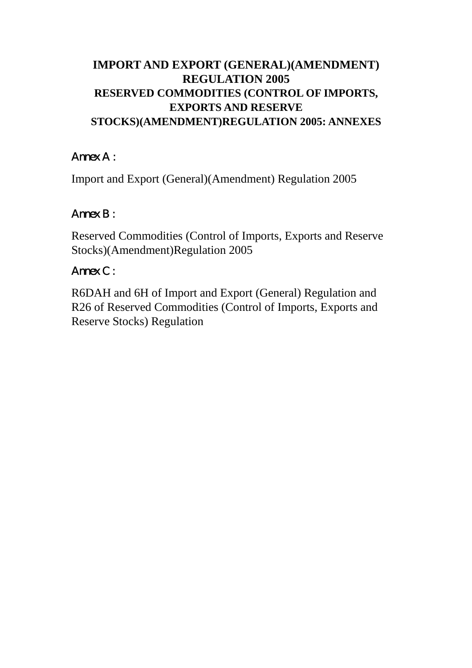# **IMPORT AND EXPORT (GENERAL)(AMENDMENT) REGULATION 2005 RESERVED COMMODITIES (CONTROL OF IMPORTS, EXPORTS AND RESERVE STOCKS)(AMENDMENT)REGULATION 2005: ANNEXES**

# Annex A:

Import and Export (General)(Amendment) Regulation 2005

# $A$ mex  $B$  :

Reserved Commodities (Control of Imports, Exports and Reserve Stocks)(Amendment)Regulation 2005

# Annex C:

R6DAH and 6H of Import and Export (General) Regulation and R26 of Reserved Commodities (Control of Imports, Exports and Reserve Stocks) Regulation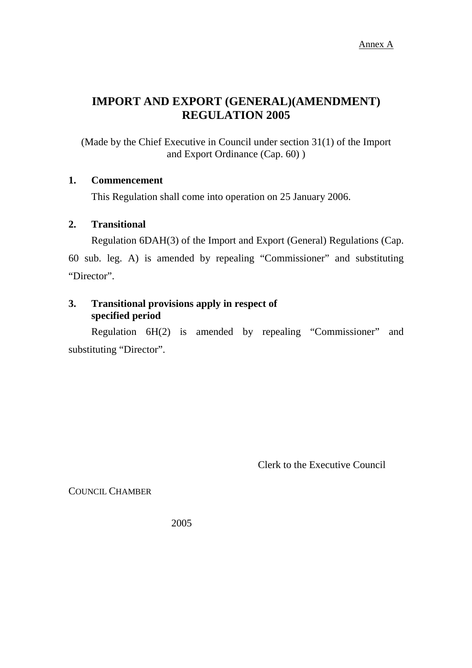# **IMPORT AND EXPORT (GENERAL)(AMENDMENT) REGULATION 2005**

(Made by the Chief Executive in Council under section 31(1) of the Import and Export Ordinance (Cap. 60) )

### **1. Commencement**

This Regulation shall come into operation on 25 January 2006.

### **2. Transitional**

Regulation 6DAH(3) of the Import and Export (General) Regulations (Cap.

60 sub. leg. A) is amended by repealing "Commissioner" and substituting "Director".

### **3. Transitional provisions apply in respect of specified period**

Regulation 6H(2) is amended by repealing "Commissioner" and substituting "Director".

Clerk to the Executive Council

COUNCIL CHAMBER

2005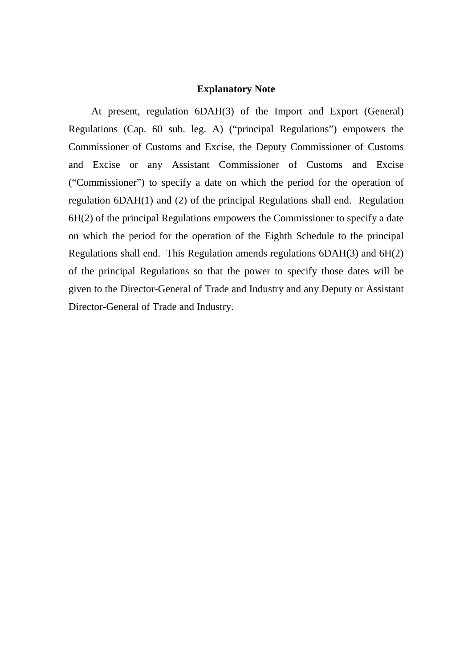#### **Explanatory Note**

At present, regulation 6DAH(3) of the Import and Export (General) Regulations (Cap. 60 sub. leg. A) ("principal Regulations") empowers the Commissioner of Customs and Excise, the Deputy Commissioner of Customs and Excise or any Assistant Commissioner of Customs and Excise ("Commissioner") to specify a date on which the period for the operation of regulation 6DAH(1) and (2) of the principal Regulations shall end. Regulation 6H(2) of the principal Regulations empowers the Commissioner to specify a date on which the period for the operation of the Eighth Schedule to the principal Regulations shall end. This Regulation amends regulations 6DAH(3) and 6H(2) of the principal Regulations so that the power to specify those dates will be given to the Director-General of Trade and Industry and any Deputy or Assistant Director-General of Trade and Industry.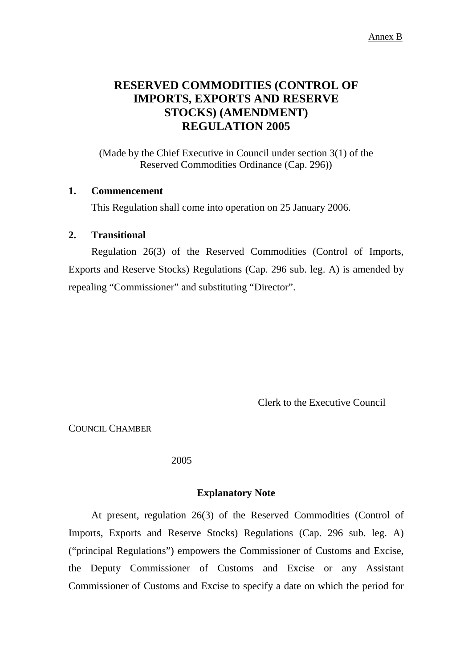## **RESERVED COMMODITIES (CONTROL OF IMPORTS, EXPORTS AND RESERVE STOCKS) (AMENDMENT) REGULATION 2005**

(Made by the Chief Executive in Council under section 3(1) of the Reserved Commodities Ordinance (Cap. 296))

#### **1. Commencement**

This Regulation shall come into operation on 25 January 2006.

#### **2. Transitional**

Regulation 26(3) of the Reserved Commodities (Control of Imports, Exports and Reserve Stocks) Regulations (Cap. 296 sub. leg. A) is amended by repealing "Commissioner" and substituting "Director".

Clerk to the Executive Council

COUNCIL CHAMBER

2005

#### **Explanatory Note**

At present, regulation 26(3) of the Reserved Commodities (Control of Imports, Exports and Reserve Stocks) Regulations (Cap. 296 sub. leg. A) ("principal Regulations") empowers the Commissioner of Customs and Excise, the Deputy Commissioner of Customs and Excise or any Assistant Commissioner of Customs and Excise to specify a date on which the period for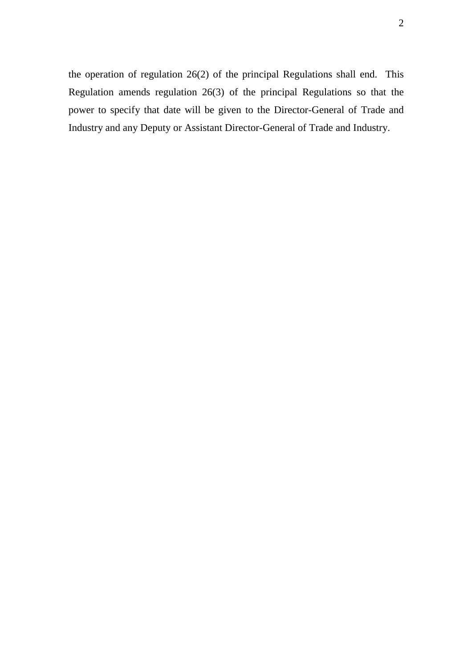the operation of regulation 26(2) of the principal Regulations shall end. This Regulation amends regulation 26(3) of the principal Regulations so that the power to specify that date will be given to the Director-General of Trade and Industry and any Deputy or Assistant Director-General of Trade and Industry.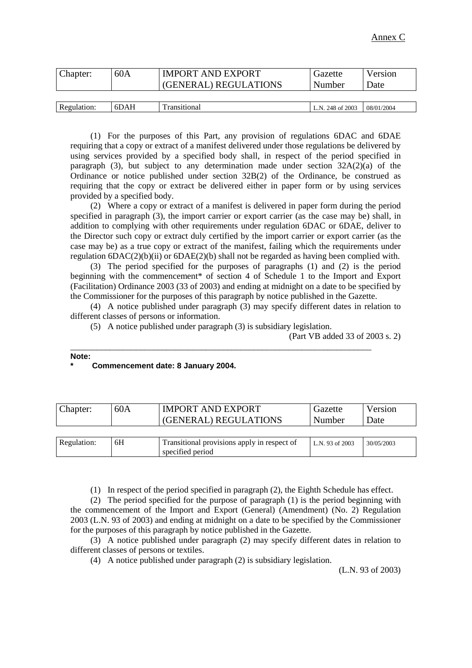| Chapter:    | 60A  | <b>IMPORT AND EXPORT</b><br>(GENERAL) REGULATIONS | Gazette<br>Number | Version<br>Date |
|-------------|------|---------------------------------------------------|-------------------|-----------------|
|             |      |                                                   |                   |                 |
| Regulation: | 6DAH | Transitional                                      | L.N. 248 of 2003  | 08/01/2004      |

(1) For the purposes of this Part, any provision of regulations 6DAC and 6DAE requiring that a copy or extract of a manifest delivered under those regulations be delivered by using services provided by a specified body shall, in respect of the period specified in paragraph (3), but subject to any determination made under section  $32A(2)(a)$  of the Ordinance or notice published under section 32B(2) of the Ordinance, be construed as requiring that the copy or extract be delivered either in paper form or by using services provided by a specified body.

(2) Where a copy or extract of a manifest is delivered in paper form during the period specified in paragraph (3), the import carrier or export carrier (as the case may be) shall, in addition to complying with other requirements under regulation 6DAC or 6DAE, deliver to the Director such copy or extract duly certified by the import carrier or export carrier (as the case may be) as a true copy or extract of the manifest, failing which the requirements under regulation  $\text{6DAC}(2)(b)(ii)$  or  $\text{6DAE}(2)(b)$  shall not be regarded as having been complied with.

(3) The period specified for the purposes of paragraphs (1) and (2) is the period beginning with the commencement\* of section 4 of Schedule 1 to the Import and Export (Facilitation) Ordinance 2003 (33 of 2003) and ending at midnight on a date to be specified by the Commissioner for the purposes of this paragraph by notice published in the Gazette.

(4) A notice published under paragraph (3) may specify different dates in relation to different classes of persons or information.

(5) A notice published under paragraph (3) is subsidiary legislation.

\_\_\_\_\_\_\_\_\_\_\_\_\_\_\_\_\_\_\_\_\_\_\_\_\_\_\_\_\_\_\_\_\_\_\_\_\_\_\_\_\_\_\_\_\_\_\_\_\_\_\_\_\_\_\_\_\_\_\_\_\_\_\_\_\_\_\_\_\_

(Part VB added 33 of 2003 s. 2)

#### **Note:**

#### **\* Commencement date: 8 January 2004.**

| Chapter:    | 60A | <b>IMPORT AND EXPORT</b><br>(GENERAL) REGULATIONS               | Gazette<br>Number | Version<br>Date |
|-------------|-----|-----------------------------------------------------------------|-------------------|-----------------|
|             |     |                                                                 |                   |                 |
| Regulation: | 6H  | Transitional provisions apply in respect of<br>specified period | L.N. 93 of 2003   | 30/05/2003      |

(1) In respect of the period specified in paragraph (2), the Eighth Schedule has effect.

(2) The period specified for the purpose of paragraph (1) is the period beginning with the commencement of the Import and Export (General) (Amendment) (No. 2) Regulation 2003 (L.N. 93 of 2003) and ending at midnight on a date to be specified by the Commissioner for the purposes of this paragraph by notice published in the Gazette.

(3) A notice published under paragraph (2) may specify different dates in relation to different classes of persons or textiles.

(4) A notice published under paragraph (2) is subsidiary legislation.

(L.N. 93 of 2003)